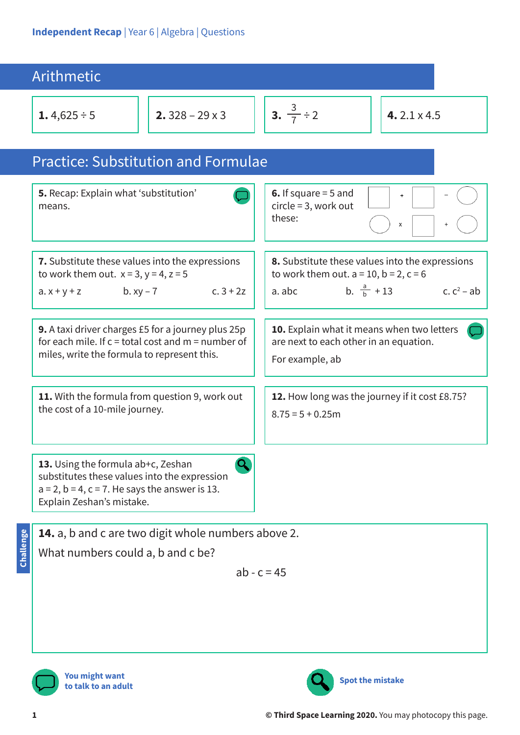| Arithmetic                                                                                                                                                                 |                                                     |                                                                                                                                                             |                    |
|----------------------------------------------------------------------------------------------------------------------------------------------------------------------------|-----------------------------------------------------|-------------------------------------------------------------------------------------------------------------------------------------------------------------|--------------------|
| 1.4,625 ÷ 5                                                                                                                                                                | 2. $328 - 29 \times 3$                              | 3. $\frac{3}{7} \div 2$                                                                                                                                     | 4.2.1 $\times$ 4.5 |
| <b>Practice: Substitution and Formulae</b>                                                                                                                                 |                                                     |                                                                                                                                                             |                    |
| 5. Recap: Explain what 'substitution'<br>means.                                                                                                                            |                                                     | 6. If square $=$ 5 and<br>$^{+}$<br>$circle = 3$ , work out<br>these:<br>X                                                                                  |                    |
| 7. Substitute these values into the expressions<br>to work them out. $x = 3$ , $y = 4$ , $z = 5$<br>$C.3 + 2Z$<br>b. $xy - 7$<br>$a. x + y + z$                            |                                                     | 8. Substitute these values into the expressions<br>to work them out. $a = 10$ , $b = 2$ , $c = 6$<br>b. $\frac{a}{b} + 13$ c. c <sup>2</sup> – ab<br>a. abc |                    |
| <b>9.</b> A taxi driver charges £5 for a journey plus 25p<br>for each mile. If $c =$ total cost and $m =$ number of<br>miles, write the formula to represent this.         |                                                     | 10. Explain what it means when two letters<br>are next to each other in an equation.<br>For example, ab                                                     |                    |
| 11. With the formula from question 9, work out<br>the cost of a 10-mile journey.                                                                                           |                                                     | 12. How long was the journey if it cost £8.75?<br>$8.75 = 5 + 0.25$ m                                                                                       |                    |
| 13. Using the formula ab+c, Zeshan<br>substitutes these values into the expression<br>$a = 2$ , $b = 4$ , $c = 7$ . He says the answer is 13.<br>Explain Zeshan's mistake. |                                                     |                                                                                                                                                             |                    |
| Challenge<br>What numbers could a, b and c be?                                                                                                                             | 14. a, b and c are two digit whole numbers above 2. |                                                                                                                                                             |                    |

$$
ab - c = 45
$$

**You might want to talk to an adult**